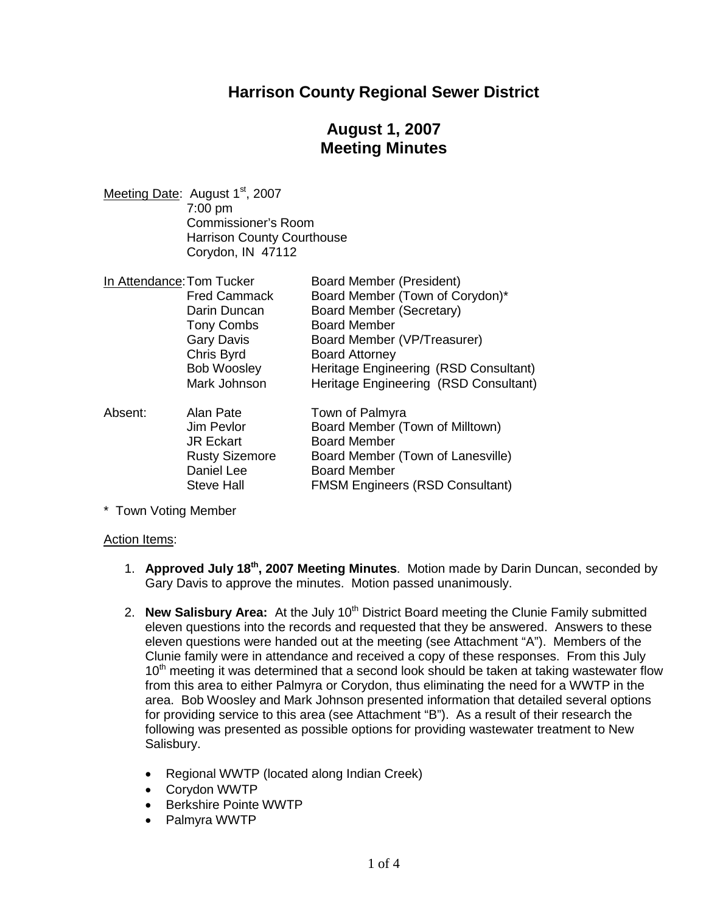# **Harrison County Regional Sewer District**

# **August 1, 2007 Meeting Minutes**

Meeting Date: August 1<sup>st</sup>, 2007 7:00 pm Commissioner's Room Harrison County Courthouse Corydon, IN 47112

| In Attendance: Tom Tucker |                       | <b>Board Member (President)</b>        |
|---------------------------|-----------------------|----------------------------------------|
|                           | <b>Fred Cammack</b>   | Board Member (Town of Corydon)*        |
|                           | Darin Duncan          | <b>Board Member (Secretary)</b>        |
|                           | <b>Tony Combs</b>     | <b>Board Member</b>                    |
|                           | <b>Gary Davis</b>     | Board Member (VP/Treasurer)            |
|                           | Chris Byrd            | <b>Board Attorney</b>                  |
|                           | <b>Bob Woosley</b>    | Heritage Engineering (RSD Consultant)  |
|                           | Mark Johnson          | Heritage Engineering (RSD Consultant)  |
| Absent:                   | Alan Pate             | Town of Palmyra                        |
|                           | Jim Pevlor            | Board Member (Town of Milltown)        |
|                           | <b>JR Eckart</b>      | <b>Board Member</b>                    |
|                           | <b>Rusty Sizemore</b> | Board Member (Town of Lanesville)      |
|                           | Daniel Lee            | <b>Board Member</b>                    |
|                           | <b>Steve Hall</b>     | <b>FMSM Engineers (RSD Consultant)</b> |

\* Town Voting Member

#### Action Items:

- 1. **Approved July 18th , 2007 Meeting Minutes**. Motion made by Darin Duncan, seconded by Gary Davis to approve the minutes. Motion passed unanimously.
- 2. **New Salisbury Area:** At the July 10<sup>th</sup> District Board meeting the Clunie Family submitted eleven questions into the records and requested that they be answered. Answers to these eleven questions were handed out at the meeting (see Attachment "A"). Members of the Clunie family were in attendance and received a copy of these responses. From this July 10<sup>th</sup> meeting it was determined that a second look should be taken at taking wastewater flow from this area to either Palmyra or Corydon, thus eliminating the need for a WWTP in the area. Bob Woosley and Mark Johnson presented information that detailed several options for providing service to this area (see Attachment "B"). As a result of their research the following was presented as possible options for providing wastewater treatment to New Salisbury.
	- Regional WWTP (located along Indian Creek)
	- Corydon WWTP
	- Berkshire Pointe WWTP
	- Palmyra WWTP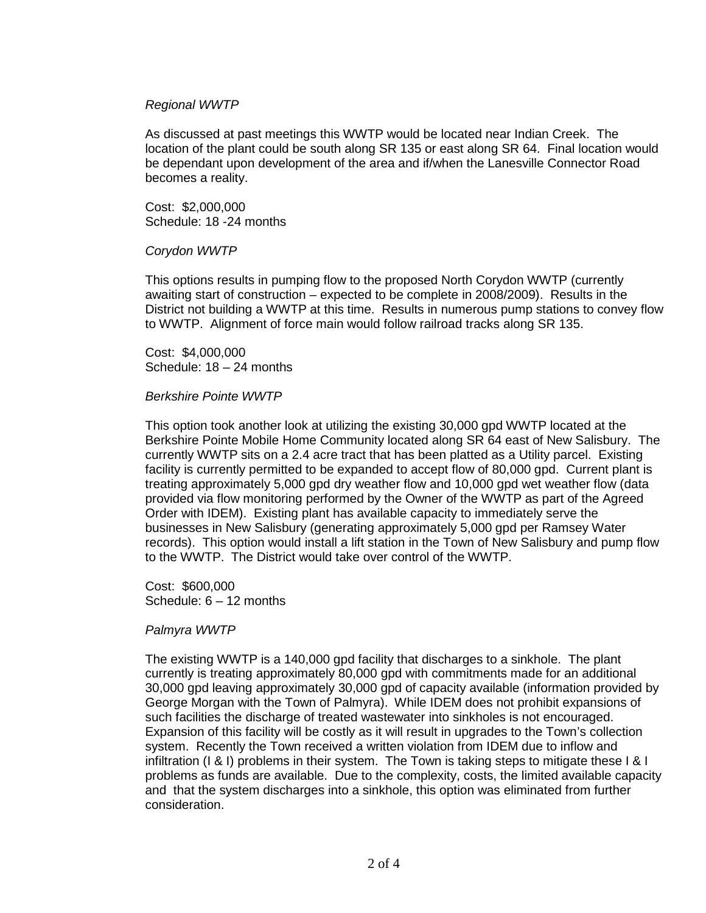#### *Regional WWTP*

As discussed at past meetings this WWTP would be located near Indian Creek. The location of the plant could be south along SR 135 or east along SR 64. Final location would be dependant upon development of the area and if/when the Lanesville Connector Road becomes a reality.

Cost: \$2,000,000 Schedule: 18 -24 months

#### *Corydon WWTP*

This options results in pumping flow to the proposed North Corydon WWTP (currently awaiting start of construction – expected to be complete in 2008/2009). Results in the District not building a WWTP at this time. Results in numerous pump stations to convey flow to WWTP. Alignment of force main would follow railroad tracks along SR 135.

Cost: \$4,000,000 Schedule: 18 – 24 months

#### *Berkshire Pointe WWTP*

This option took another look at utilizing the existing 30,000 gpd WWTP located at the Berkshire Pointe Mobile Home Community located along SR 64 east of New Salisbury. The currently WWTP sits on a 2.4 acre tract that has been platted as a Utility parcel. Existing facility is currently permitted to be expanded to accept flow of 80,000 gpd. Current plant is treating approximately 5,000 gpd dry weather flow and 10,000 gpd wet weather flow (data provided via flow monitoring performed by the Owner of the WWTP as part of the Agreed Order with IDEM). Existing plant has available capacity to immediately serve the businesses in New Salisbury (generating approximately 5,000 gpd per Ramsey Water records). This option would install a lift station in the Town of New Salisbury and pump flow to the WWTP. The District would take over control of the WWTP.

Cost: \$600,000 Schedule: 6 – 12 months

#### *Palmyra WWTP*

The existing WWTP is a 140,000 gpd facility that discharges to a sinkhole. The plant currently is treating approximately 80,000 gpd with commitments made for an additional 30,000 gpd leaving approximately 30,000 gpd of capacity available (information provided by George Morgan with the Town of Palmyra). While IDEM does not prohibit expansions of such facilities the discharge of treated wastewater into sinkholes is not encouraged. Expansion of this facility will be costly as it will result in upgrades to the Town's collection system. Recently the Town received a written violation from IDEM due to inflow and infiltration (I & I) problems in their system. The Town is taking steps to mitigate these I & I problems as funds are available. Due to the complexity, costs, the limited available capacity and that the system discharges into a sinkhole, this option was eliminated from further consideration.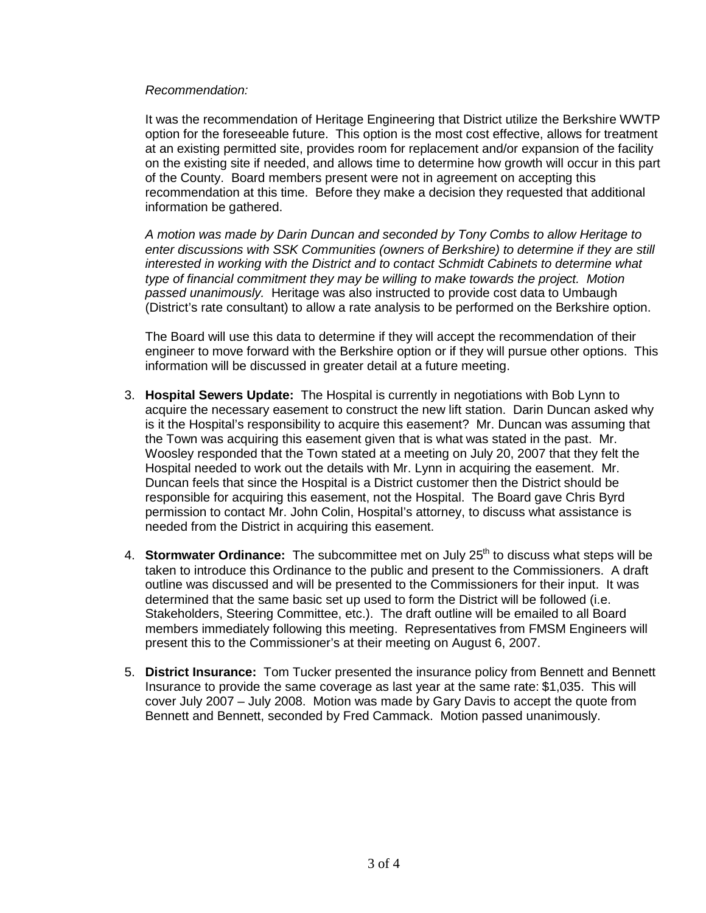#### *Recommendation:*

It was the recommendation of Heritage Engineering that District utilize the Berkshire WWTP option for the foreseeable future. This option is the most cost effective, allows for treatment at an existing permitted site, provides room for replacement and/or expansion of the facility on the existing site if needed, and allows time to determine how growth will occur in this part of the County. Board members present were not in agreement on accepting this recommendation at this time. Before they make a decision they requested that additional information be gathered.

*A motion was made by Darin Duncan and seconded by Tony Combs to allow Heritage to enter discussions with SSK Communities (owners of Berkshire) to determine if they are still interested in working with the District and to contact Schmidt Cabinets to determine what type of financial commitment they may be willing to make towards the project. Motion passed unanimously.* Heritage was also instructed to provide cost data to Umbaugh (District's rate consultant) to allow a rate analysis to be performed on the Berkshire option.

The Board will use this data to determine if they will accept the recommendation of their engineer to move forward with the Berkshire option or if they will pursue other options. This information will be discussed in greater detail at a future meeting.

- 3. **Hospital Sewers Update:** The Hospital is currently in negotiations with Bob Lynn to acquire the necessary easement to construct the new lift station. Darin Duncan asked why is it the Hospital's responsibility to acquire this easement? Mr. Duncan was assuming that the Town was acquiring this easement given that is what was stated in the past. Mr. Woosley responded that the Town stated at a meeting on July 20, 2007 that they felt the Hospital needed to work out the details with Mr. Lynn in acquiring the easement. Mr. Duncan feels that since the Hospital is a District customer then the District should be responsible for acquiring this easement, not the Hospital. The Board gave Chris Byrd permission to contact Mr. John Colin, Hospital's attorney, to discuss what assistance is needed from the District in acquiring this easement.
- 4. **Stormwater Ordinance:** The subcommittee met on July 25<sup>th</sup> to discuss what steps will be taken to introduce this Ordinance to the public and present to the Commissioners. A draft outline was discussed and will be presented to the Commissioners for their input. It was determined that the same basic set up used to form the District will be followed (i.e. Stakeholders, Steering Committee, etc.). The draft outline will be emailed to all Board members immediately following this meeting. Representatives from FMSM Engineers will present this to the Commissioner's at their meeting on August 6, 2007.
- 5. **District Insurance:** Tom Tucker presented the insurance policy from Bennett and Bennett Insurance to provide the same coverage as last year at the same rate: \$1,035. This will cover July 2007 – July 2008. Motion was made by Gary Davis to accept the quote from Bennett and Bennett, seconded by Fred Cammack. Motion passed unanimously.